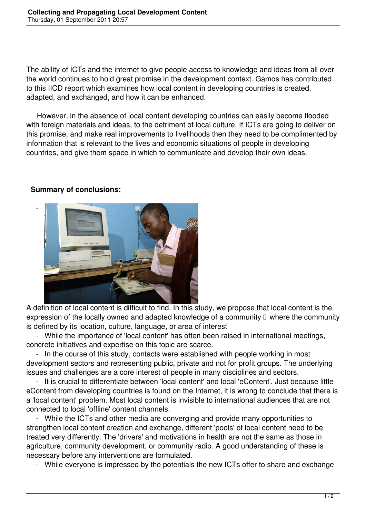The ability of ICTs and the internet to give people access to knowledge and ideas from all over the world continues to hold great promise in the development context. Gamos has contributed to this IICD report which examines how local content in developing countries is created, adapted, and exchanged, and how it can be enhanced.

 However, in the absence of local content developing countries can easily become flooded with foreign materials and ideas, to the detriment of local culture. If ICTs are going to deliver on this promise, and make real improvements to livelihoods then they need to be complimented by information that is relevant to the lives and economic situations of people in developing countries, and give them space in which to communicate and develop their own ideas.

## -

**Summary of conclusions:**



A definition of local content is difficult to find. In this study, we propose that local content is the expression of the locally owned and adapted knowledge of a community  $\Box$  where the community is defined by its location, culture, language, or area of interest

 - While the importance of 'local content' has often been raised in international meetings, concrete initiatives and expertise on this topic are scarce.

 - In the course of this study, contacts were established with people working in most development sectors and representing public, private and not for profit groups. The underlying issues and challenges are a core interest of people in many disciplines and sectors.

 - It is crucial to differentiate between 'local content' and local 'eContent'. Just because little eContent from developing countries is found on the Internet, it is wrong to conclude that there is a 'local content' problem. Most local content is invisible to international audiences that are not connected to local 'offline' content channels.

 - While the ICTs and other media are converging and provide many opportunities to strengthen local content creation and exchange, different 'pools' of local content need to be treated very differently. The 'drivers' and motivations in health are not the same as those in agriculture, community development, or community radio. A good understanding of these is necessary before any interventions are formulated.

- While everyone is impressed by the potentials the new ICTs offer to share and exchange